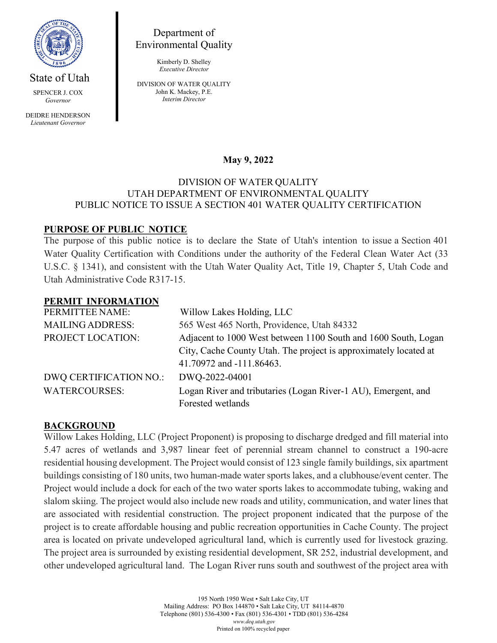

DEIDRE HENDERSON *Lieutenant Governor*

# Department of Environmental Quality

Kimberly D. Shelley *Executive Director*

DIVISION OF WATER QUALITY John K. Mackey, P.E. *Interim Director*

# **May 9, 2022**

#### DIVISION OF WATER QUALITY UTAH DEPARTMENT OF ENVIRONMENTAL QUALITY PUBLIC NOTICE TO ISSUE A SECTION 401 WATER QUALITY CERTIFICATION

## **PURPOSE OF PUBLIC NOTICE**

The purpose of this public notice is to declare the State of Utah's intention to issue a Section 401 Water Quality Certification with Conditions under the authority of the Federal Clean Water Act (33 U.S.C. § 1341), and consistent with the Utah Water Quality Act, Title 19, Chapter 5, Utah Code and Utah Administrative Code R317-15.

#### **PERMIT INFORMATION**

| PERMITTEE NAME:         | Willow Lakes Holding, LLC                                        |
|-------------------------|------------------------------------------------------------------|
| <b>MAILING ADDRESS:</b> | 565 West 465 North, Providence, Utah 84332                       |
| PROJECT LOCATION:       | Adjacent to 1000 West between 1100 South and 1600 South, Logan   |
|                         | City, Cache County Utah. The project is approximately located at |
|                         | 41.70972 and -111.86463.                                         |
| DWQ CERTIFICATION NO.:  | DWQ-2022-04001                                                   |
| <b>WATERCOURSES:</b>    | Logan River and tributaries (Logan River-1 AU), Emergent, and    |
|                         | Forested wetlands                                                |

### **BACKGROUND**

Willow Lakes Holding, LLC (Project Proponent) is proposing to discharge dredged and fill material into 5.47 acres of wetlands and 3,987 linear feet of perennial stream channel to construct a 190-acre residential housing development. The Project would consist of 123 single family buildings, six apartment buildings consisting of 180 units, two human-made water sports lakes, and a clubhouse/event center. The Project would include a dock for each of the two water sports lakes to accommodate tubing, waking and slalom skiing. The project would also include new roads and utility, communication, and water lines that are associated with residential construction. The project proponent indicated that the purpose of the project is to create affordable housing and public recreation opportunities in Cache County. The project area is located on private undeveloped agricultural land, which is currently used for livestock grazing. The project area is surrounded by existing residential development, SR 252, industrial development, and other undeveloped agricultural land. The Logan River runs south and southwest of the project area with